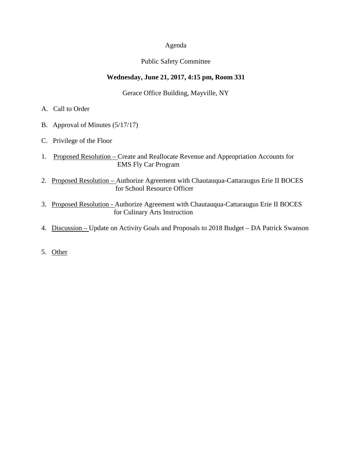### Agenda

## Public Safety Committee

## **Wednesday, June 21, 2017, 4:15 pm, Room 331**

Gerace Office Building, Mayville, NY

- A. Call to Order
- B. Approval of Minutes (5/17/17)
- C. Privilege of the Floor
- 1. Proposed Resolution Create and Reallocate Revenue and Appropriation Accounts for EMS Fly Car Program
- 2. Proposed Resolution Authorize Agreement with Chautauqua-Cattaraugus Erie II BOCES for School Resource Officer
- 3. Proposed Resolution Authorize Agreement with Chautauqua-Cattaraugus Erie II BOCES for Culinary Arts Instruction
- 4. Discussion Update on Activity Goals and Proposals to 2018 Budget DA Patrick Swanson
- 5. Other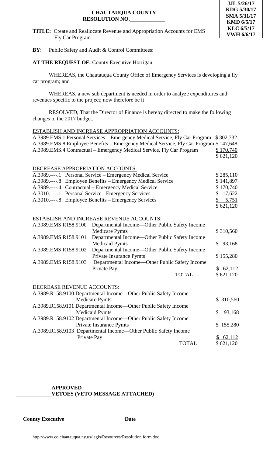### **CHAUTAUQUA COUNTY RESOLUTION NO.\_\_\_\_\_\_\_\_\_\_\_\_\_**



### **TITLE:** Create and Reallocate Revenue and Appropriation Accounts for EMS Fly Car Program

**BY:** Public Safety and Audit & Control Committees:

# **AT THE REQUEST OF:** County Executive Horrigan:

WHEREAS, the Chautauqua County Office of Emergency Services is developing a fly car program; and

WHEREAS, a new sub department is needed in order to analyze expenditures and revenues specific to the project; now therefore be it

RESOLVED, That the Director of Finance is hereby directed to make the following changes to the 2017 budget.

### ESTABLISH AND INCREASE APPROPRIATION ACCOUNTS:

| A.3989.EMS.1 Personal Services – Emergency Medical Service, Fly Car Program           | \$302,732     |
|---------------------------------------------------------------------------------------|---------------|
| A.3989.EMS.8 Employee Benefits – Emergency Medical Service, Fly Car Program \$147,648 |               |
| A.3989.EMS.4 Contractual – Emergency Medical Service, Fly Car Program                 | \$170,740     |
|                                                                                       | \$621,120     |
|                                                                                       |               |
| DECREASE APPROPRIATION ACCOUNTS:                                                      |               |
| A.3989.----.1 Personal Service – Emergency Medical Service                            | \$285,110     |
| A.3989.----.8 Employee Benefits – Emergency Medical Service                           | \$141,897     |
| A.3989.----.4 Contractual – Emergency Medical Service                                 | \$170,740     |
| A.3010.----.1 Personal Service - Emergency Services                                   | \$17,622      |
| A.3010.----.8 Employee Benefits – Emergency Services                                  | \$ 5,751      |
|                                                                                       | \$621,120     |
|                                                                                       |               |
| ESTABLISH AND INCREASE REVENUE ACCOUNTS:                                              |               |
| A.3989.EMS R158.9100<br>Departmental Income—Other Public Safety Income                |               |
| <b>Medicare Pymts</b>                                                                 | \$310,560     |
| Departmental Income-Other Public Safety Income<br>A.3989.EMS R158.9101                |               |
| <b>Medicaid Pymts</b>                                                                 | 93,168<br>\$  |
| A.3989.EMS R158.9102<br>Departmental Income—Other Public Safety Income                |               |
| Private Insurance Pymts                                                               | \$155,280     |
| Departmental Income—Other Public Safety Income<br>A.3989.EMS R158.9103                |               |
| Private Pay                                                                           | \$62,112      |
| <b>TOTAL</b>                                                                          | \$621,120     |
|                                                                                       |               |
| DECREASE REVENUE ACCOUNTS:                                                            |               |
| A.3989.R158.9100 Departmental Income-Other Public Safety Income                       |               |
| <b>Medicare Pymts</b>                                                                 | \$ 310,560    |
| A.3989.R158.9101 Departmental Income—Other Public Safety Income                       |               |
| <b>Medicaid Pymts</b>                                                                 | \$<br>93,168  |
| A.3989.R158.9102 Departmental Income-Other Public Safety Income                       |               |
| <b>Private Insurance Pymts</b>                                                        | 155,280<br>\$ |
| A.3989.R158.9103 Departmental Income-Other Public Safety Income                       |               |
| Private Pay                                                                           | \$62,112      |
| <b>TOTAL</b>                                                                          | \$621,120     |

# **\_\_\_\_\_\_\_\_\_\_\_\_\_APPROVED**

\_\_\_\_\_\_\_\_\_\_\_\_\_\_\_\_\_\_\_\_\_\_\_\_\_\_\_\_\_\_\_\_\_\_ \_\_\_\_\_\_\_\_\_\_\_\_\_\_

**\_\_\_\_\_\_\_\_\_\_\_\_\_VETOES (VETO MESSAGE ATTACHED)**

**County Executive Date**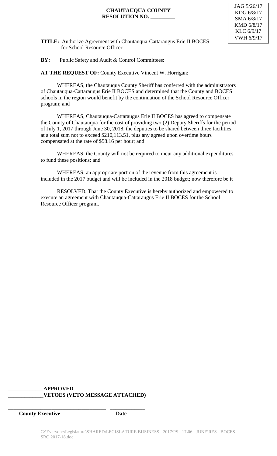### **CHAUTAUQUA COUNTY RESOLUTION NO. \_\_\_\_\_\_\_\_\_**

**TITLE:** Authorize Agreement with Chautauqua-Cattaraugus Erie II BOCES for School Resource Officer

## **BY:** Public Safety and Audit & Control Committees:

**AT THE REQUEST OF:** County Executive Vincent W. Horrigan:

WHEREAS, the Chautauqua County Sheriff has conferred with the administrators of Chautauqua-Cattaraugus Erie II BOCES and determined that the County and BOCES schools in the region would benefit by the continuation of the School Resource Officer program; and

WHEREAS, Chautauqua-Cattaraugus Erie II BOCES has agreed to compensate the County of Chautauqua for the cost of providing two (2) Deputy Sheriffs for the period of July 1, 2017 through June 30, 2018, the deputies to be shared between three facilities at a total sum not to exceed \$210,113.51, plus any agreed upon overtime hours compensated at the rate of \$58.16 per hour; and

WHEREAS, the County will not be required to incur any additional expenditures to fund these positions; and

WHEREAS, an appropriate portion of the revenue from this agreement is included in the 2017 budget and will be included in the 2018 budget; now therefore be it

RESOLVED, That the County Executive is hereby authorized and empowered to execute an agreement with Chautauqua-Cattaraugus Erie II BOCES for the School Resource Officer program.

# **\_\_\_\_\_\_\_\_\_\_\_\_\_APPROVED \_\_\_\_\_\_\_\_\_\_\_\_\_VETOES (VETO MESSAGE ATTACHED)**

**\_\_\_\_\_\_\_\_\_\_\_\_\_\_\_\_\_\_\_\_\_\_\_\_\_\_\_\_\_\_\_\_\_\_\_\_ \_\_\_\_\_\_\_\_\_\_\_\_\_**

**County Executive Date**